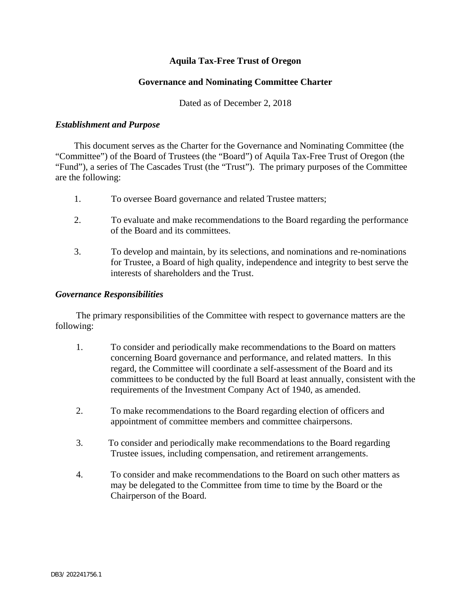# **Aquila Tax-Free Trust of Oregon**

## **Governance and Nominating Committee Charter**

Dated as of December 2, 2018

### *Establishment and Purpose*

This document serves as the Charter for the Governance and Nominating Committee (the "Committee") of the Board of Trustees (the "Board") of Aquila Tax-Free Trust of Oregon (the "Fund"), a series of The Cascades Trust (the "Trust"). The primary purposes of the Committee are the following:

- 1. To oversee Board governance and related Trustee matters;
- 2. To evaluate and make recommendations to the Board regarding the performance of the Board and its committees.
- 3. To develop and maintain, by its selections, and nominations and re-nominations for Trustee, a Board of high quality, independence and integrity to best serve the interests of shareholders and the Trust.

### *Governance Responsibilities*

The primary responsibilities of the Committee with respect to governance matters are the following:

- 1. To consider and periodically make recommendations to the Board on matters concerning Board governance and performance, and related matters. In this regard, the Committee will coordinate a self-assessment of the Board and its committees to be conducted by the full Board at least annually, consistent with the requirements of the Investment Company Act of 1940, as amended.
- 2. To make recommendations to the Board regarding election of officers and appointment of committee members and committee chairpersons.
- 3. To consider and periodically make recommendations to the Board regarding Trustee issues, including compensation, and retirement arrangements.
- 4. To consider and make recommendations to the Board on such other matters as may be delegated to the Committee from time to time by the Board or the Chairperson of the Board.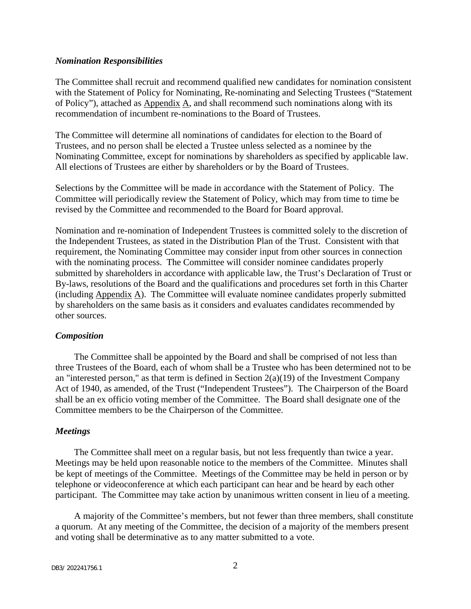#### *Nomination Responsibilities*

The Committee shall recruit and recommend qualified new candidates for nomination consistent with the Statement of Policy for Nominating, Re-nominating and Selecting Trustees ("Statement of Policy"), attached as Appendix A, and shall recommend such nominations along with its recommendation of incumbent re-nominations to the Board of Trustees.

The Committee will determine all nominations of candidates for election to the Board of Trustees, and no person shall be elected a Trustee unless selected as a nominee by the Nominating Committee, except for nominations by shareholders as specified by applicable law. All elections of Trustees are either by shareholders or by the Board of Trustees.

Selections by the Committee will be made in accordance with the Statement of Policy. The Committee will periodically review the Statement of Policy, which may from time to time be revised by the Committee and recommended to the Board for Board approval.

Nomination and re-nomination of Independent Trustees is committed solely to the discretion of the Independent Trustees, as stated in the Distribution Plan of the Trust. Consistent with that requirement, the Nominating Committee may consider input from other sources in connection with the nominating process. The Committee will consider nominee candidates properly submitted by shareholders in accordance with applicable law, the Trust's Declaration of Trust or By-laws, resolutions of the Board and the qualifications and procedures set forth in this Charter (including Appendix A). The Committee will evaluate nominee candidates properly submitted by shareholders on the same basis as it considers and evaluates candidates recommended by other sources.

#### *Composition*

The Committee shall be appointed by the Board and shall be comprised of not less than three Trustees of the Board, each of whom shall be a Trustee who has been determined not to be an "interested person," as that term is defined in Section  $2(a)(19)$  of the Investment Company Act of 1940, as amended, of the Trust ("Independent Trustees"). The Chairperson of the Board shall be an ex officio voting member of the Committee. The Board shall designate one of the Committee members to be the Chairperson of the Committee.

#### *Meetings*

The Committee shall meet on a regular basis, but not less frequently than twice a year. Meetings may be held upon reasonable notice to the members of the Committee. Minutes shall be kept of meetings of the Committee. Meetings of the Committee may be held in person or by telephone or videoconference at which each participant can hear and be heard by each other participant. The Committee may take action by unanimous written consent in lieu of a meeting.

A majority of the Committee's members, but not fewer than three members, shall constitute a quorum. At any meeting of the Committee, the decision of a majority of the members present and voting shall be determinative as to any matter submitted to a vote.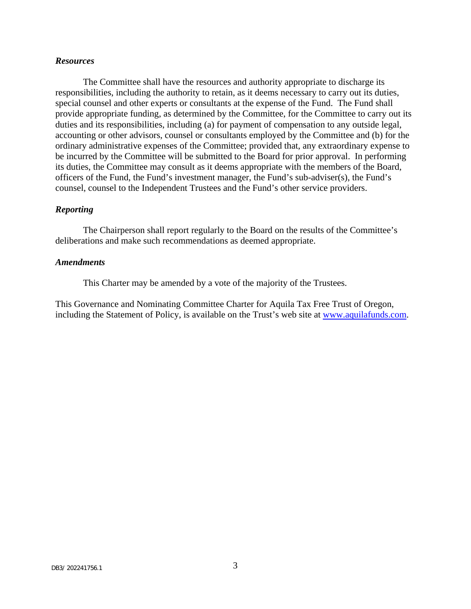#### *Resources*

The Committee shall have the resources and authority appropriate to discharge its responsibilities, including the authority to retain, as it deems necessary to carry out its duties, special counsel and other experts or consultants at the expense of the Fund. The Fund shall provide appropriate funding, as determined by the Committee, for the Committee to carry out its duties and its responsibilities, including (a) for payment of compensation to any outside legal, accounting or other advisors, counsel or consultants employed by the Committee and (b) for the ordinary administrative expenses of the Committee; provided that, any extraordinary expense to be incurred by the Committee will be submitted to the Board for prior approval. In performing its duties, the Committee may consult as it deems appropriate with the members of the Board, officers of the Fund, the Fund's investment manager, the Fund's sub-adviser(s), the Fund's counsel, counsel to the Independent Trustees and the Fund's other service providers.

### *Reporting*

The Chairperson shall report regularly to the Board on the results of the Committee's deliberations and make such recommendations as deemed appropriate.

#### *Amendments*

This Charter may be amended by a vote of the majority of the Trustees.

This Governance and Nominating Committee Charter for Aquila Tax Free Trust of Oregon, including the Statement of Policy, is available on the Trust's web site at www.aquilafunds.com.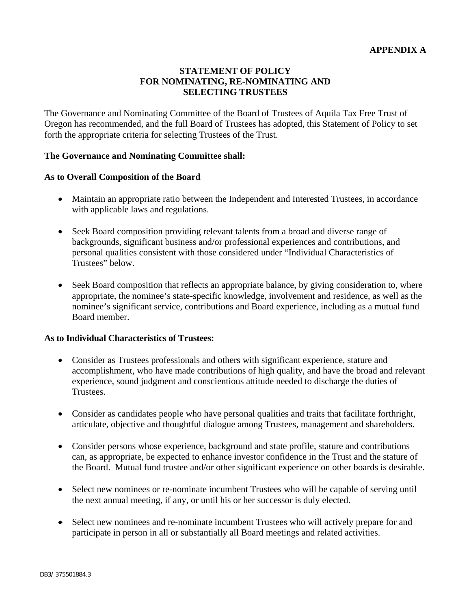## **STATEMENT OF POLICY FOR NOMINATING, RE-NOMINATING AND SELECTING TRUSTEES**

The Governance and Nominating Committee of the Board of Trustees of Aquila Tax Free Trust of Oregon has recommended, and the full Board of Trustees has adopted, this Statement of Policy to set forth the appropriate criteria for selecting Trustees of the Trust.

## **The Governance and Nominating Committee shall:**

### **As to Overall Composition of the Board**

- Maintain an appropriate ratio between the Independent and Interested Trustees, in accordance with applicable laws and regulations.
- Seek Board composition providing relevant talents from a broad and diverse range of backgrounds, significant business and/or professional experiences and contributions, and personal qualities consistent with those considered under "Individual Characteristics of Trustees" below.
- Seek Board composition that reflects an appropriate balance, by giving consideration to, where appropriate, the nominee's state-specific knowledge, involvement and residence, as well as the nominee's significant service, contributions and Board experience, including as a mutual fund Board member.

## **As to Individual Characteristics of Trustees:**

- Consider as Trustees professionals and others with significant experience, stature and accomplishment, who have made contributions of high quality, and have the broad and relevant experience, sound judgment and conscientious attitude needed to discharge the duties of Trustees.
- Consider as candidates people who have personal qualities and traits that facilitate forthright, articulate, objective and thoughtful dialogue among Trustees, management and shareholders.
- Consider persons whose experience, background and state profile, stature and contributions can, as appropriate, be expected to enhance investor confidence in the Trust and the stature of the Board. Mutual fund trustee and/or other significant experience on other boards is desirable.
- Select new nominees or re-nominate incumbent Trustees who will be capable of serving until the next annual meeting, if any, or until his or her successor is duly elected.
- Select new nominees and re-nominate incumbent Trustees who will actively prepare for and participate in person in all or substantially all Board meetings and related activities.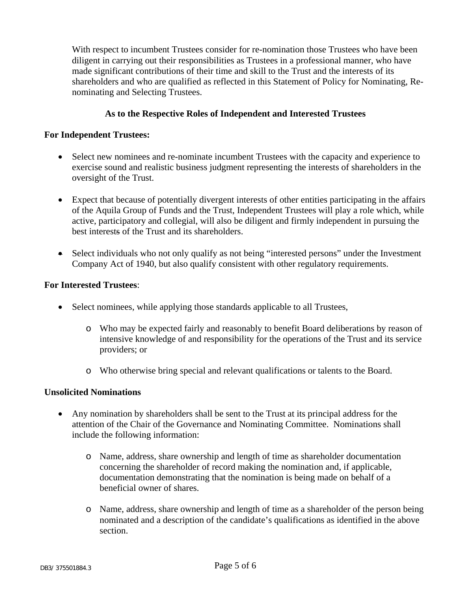With respect to incumbent Trustees consider for re-nomination those Trustees who have been diligent in carrying out their responsibilities as Trustees in a professional manner, who have made significant contributions of their time and skill to the Trust and the interests of its shareholders and who are qualified as reflected in this Statement of Policy for Nominating, Renominating and Selecting Trustees.

# **As to the Respective Roles of Independent and Interested Trustees**

# **For Independent Trustees:**

- Select new nominees and re-nominate incumbent Trustees with the capacity and experience to exercise sound and realistic business judgment representing the interests of shareholders in the oversight of the Trust.
- Expect that because of potentially divergent interests of other entities participating in the affairs of the Aquila Group of Funds and the Trust, Independent Trustees will play a role which, while active, participatory and collegial, will also be diligent and firmly independent in pursuing the best interests of the Trust and its shareholders.
- Select individuals who not only qualify as not being "interested persons" under the Investment Company Act of 1940, but also qualify consistent with other regulatory requirements.

# **For Interested Trustees**:

- Select nominees, while applying those standards applicable to all Trustees,
	- o Who may be expected fairly and reasonably to benefit Board deliberations by reason of intensive knowledge of and responsibility for the operations of the Trust and its service providers; or
	- o Who otherwise bring special and relevant qualifications or talents to the Board.

## **Unsolicited Nominations**

- Any nomination by shareholders shall be sent to the Trust at its principal address for the attention of the Chair of the Governance and Nominating Committee. Nominations shall include the following information:
	- o Name, address, share ownership and length of time as shareholder documentation concerning the shareholder of record making the nomination and, if applicable, documentation demonstrating that the nomination is being made on behalf of a beneficial owner of shares.
	- o Name, address, share ownership and length of time as a shareholder of the person being nominated and a description of the candidate's qualifications as identified in the above section.